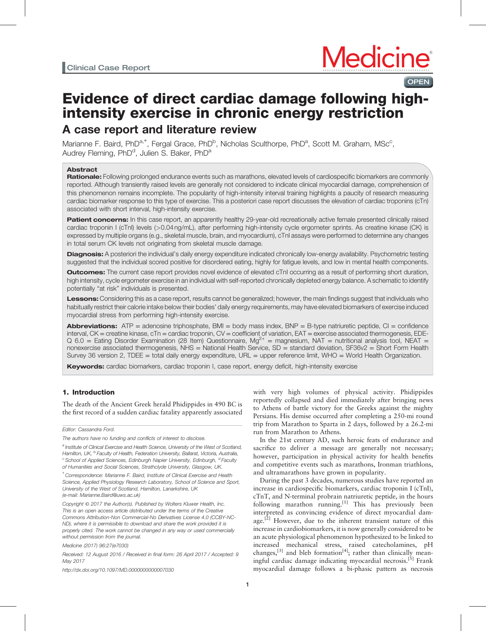**OPEN** 

# Evidence of direct cardiac damage following highintensity exercise in chronic energy restriction A case report and literature review

Marianne F. Baird, PhD<sup>a,\*</sup>, Fergal Grace, PhD<sup>b</sup>, Nicholas Sculthorpe, PhD<sup>a</sup>, Scott M. Graham, MSc<sup>c</sup>, Audrey Fleming,  $PhD<sup>d</sup>$ , Julien S. Baker, Ph $D<sup>a</sup>$ 

# Abstract

Rationale: Following prolonged endurance events such as marathons, elevated levels of cardiospecific biomarkers are commonly reported. Although transiently raised levels are generally not considered to indicate clinical myocardial damage, comprehension of this phenomenon remains incomplete. The popularity of high-intensity interval training highlights a paucity of research measuring cardiac biomarker response to this type of exercise. This a posteriori case report discusses the elevation of cardiac troponins (cTn) associated with short interval, high-intensity exercise.

Patient concerns: In this case report, an apparently healthy 29-year-old recreationally active female presented clinically raised cardiac troponin I (cTnI) levels (>0.04 ng/mL), after performing high-intensity cycle ergometer sprints. As creatine kinase (CK) is expressed by multiple organs (e.g., skeletal muscle, brain, and myocardium), cTnI assays were performed to determine any changes in total serum CK levels not originating from skeletal muscle damage.

Diagnosis: A posteriori the individual's daily energy expenditure indicated chronically low-energy availability. Psychometric testing suggested that the individual scored positive for disordered eating, highly for fatigue levels, and low in mental health components.

Outcomes: The current case report provides novel evidence of elevated cTnI occurring as a result of performing short duration, high intensity, cycle ergometer exercise in an individual with self-reported chronically depleted energy balance. A schematic to identify potentially "at risk" individuals is presented.

Lessons: Considering this as a case report, results cannot be generalized; however, the main findings suggest that individuals who habitually restrict their calorie intake below their bodies' daily energy requirements, may have elevated biomarkers of exercise induced myocardial stress from performing high-intensity exercise.

**Abbreviations:**  $ATP =$  adenosine triphosphate,  $BMI =$  body mass index,  $BNP = B$ -type natriuretic peptide,  $CI =$  confidence interval, CK = creatine kinase, cTn = cardiac troponin, CV = coefficient of variation, EAT = exercise associated thermogenesis, EDE- $Q$  6.0 = Eating Disorder Examination (28 Item) Questionnaire, Mg<sup>2+</sup> = magnesium, NAT = nutritional analysis tool, NEAT = nonexercise associated thermogenesis, NHS = National Health Service,  $SD =$  standard deviation, SF36v2 = Short Form Health Survey 36 version 2, TDEE = total daily energy expenditure, URL = upper reference limit, WHO = World Health Organization.

Keywords: cardiac biomarkers, cardiac troponin I, case report, energy deficit, high-intensity exercise

# 1. Introduction

The death of the Ancient Greek herald Phidippides in 490 BC is the first record of a sudden cardiac fatality apparently associated

<http://dx.doi.org/10.1097/MD.0000000000007030>

with very high volumes of physical activity. Phidippides reportedly collapsed and died immediately after bringing news to Athens of battle victory for the Greeks against the mighty Persians. His demise occurred after completing a 250-mi round trip from Marathon to Sparta in 2 days, followed by a 26.2-mi run from Marathon to Athens.

In the 21st century AD, such heroic feats of endurance and sacrifice to deliver a message are generally not necessary; however, participation in physical activity for health benefits and competitive events such as marathons, Ironman triathlons, and ultramarathons have grown in popularity.

During the past 3 decades, numerous studies have reported an increase in cardiospecific biomarkers, cardiac troponin I (cTnI), cTnT, and N-terminal probrain natriuretic peptide, in the hours following marathon running.<sup>[\[1\]](#page-4-0)</sup> This has previously been interpreted as convincing evidence of direct myocardial dam-age.<sup>[\[2\]](#page-4-0)</sup> However, due to the inherent transient nature of this increase in cardiobiomarkers, it is now generally considered to be an acute physiological phenomenon hypothesized to be linked to increased mechanical stress, raised catecholamines, pH changes, $^{[3]}$  $^{[3]}$  $^{[3]}$  and bleb formation<sup>[\[4\]](#page-4-0)</sup>; rather than clinically mean-ingful cardiac damage indicating myocardial necrosis.<sup>[\[5\]](#page-4-0)</sup> Frank myocardial damage follows a bi-phasic pattern as necrosis

Editor: Cassandra Ford.

The authors have no funding and conflicts of interest to disclose.

<sup>&</sup>lt;sup>a</sup> Institute of Clinical Exercise and Health Science, University of the West of Scotland, Hamilton, UK, <sup>b</sup> Faculty of Health, Federation University, Ballarat, Victoria, Australia,  $c$  School of Applied Sciences, Edinburgh Napier University, Edinburgh,  $d$  Faculty of Humanities and Social Sciences, Strathclyde University, Glasgow, UK.

<sup>∗</sup> Correspondence: Marianne F. Baird, Institute of Clinical Exercise and Health Science, Applied Physiology Research Laboratory, School of Science and Sport, University of the West of Scotland, Hamilton, Lanarkshire, UK (e-mail: [Marianne.Baird@uws.ac.uk\)](mailto:Marianne.Baird@uws.ac.uk))

Copyright © 2017 the Author(s). Published by Wolters Kluwer Health, Inc. This is an open access article distributed under the terms of the [Creative](http://creativecommons.org/licenses/by-nc-nd/4.0) [Commons Attribution-Non Commercial-No Derivatives License 4.0](http://creativecommons.org/licenses/by-nc-nd/4.0) (CCBY-NC-ND), where it is permissible to download and share the work provided it is properly cited. The work cannot be changed in any way or used commercially without permission from the journal.

Medicine (2017) 96:27(e7030)

Received: 12 August 2016 / Received in final form: 26 April 2017 / Accepted: 9 May 2017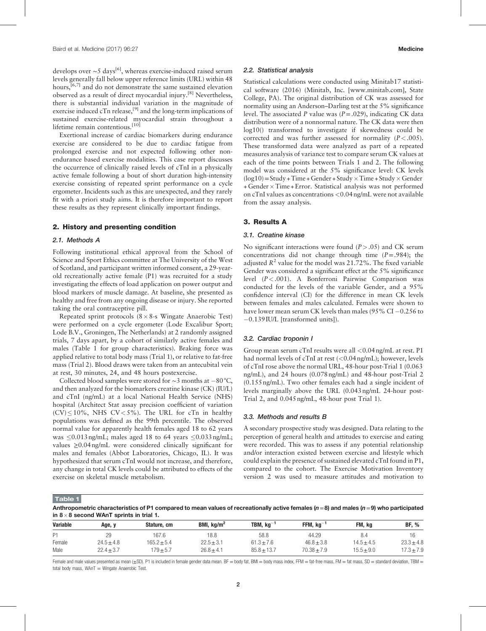develops over ~5 days<sup>[\[6\]](#page-4-0)</sup>, whereas exercise-induced raised serum levels generally fall below upper reference limits (URL) within 48 hours,<sup>[6,7]</sup> and do not demonstrate the same sustained elevation observed as a result of direct myocardial injury.[\[8\]](#page-4-0) Nevertheless, there is substantial individual variation in the magnitude of exercise induced  $cTn$  release,<sup>[\[9\]](#page-4-0)</sup> and the long-term implications of sustained exercise-related myocardial strain throughout a lifetime remain contentious.<sup>[\[10\]](#page-4-0)</sup>

Exertional increase of cardiac biomarkers during endurance exercise are considered to be due to cardiac fatigue from prolonged exercise and not expected following other nonendurance based exercise modalities. This case report discusses the occurrence of clinically raised levels of cTnI in a physically active female following a bout of short duration high-intensity exercise consisting of repeated sprint performance on a cycle ergometer. Incidents such as this are unexpected, and they rarely fit with a priori study aims. It is therefore important to report these results as they represent clinically important findings.

## 2. History and presenting condition

#### 2.1. Methods A

Following institutional ethical approval from the School of Science and Sport Ethics committee at The University of the West of Scotland, and participant written informed consent, a 29-yearold recreationally active female (P1) was recruited for a study investigating the effects of load application on power output and blood markers of muscle damage. At baseline, she presented as healthy and free from any ongoing disease or injury. She reported taking the oral contraceptive pill.

Repeated sprint protocols  $(8 \times 8$ -s Wingate Anaerobic Test) were performed on a cycle ergometer (Lode Excalibur Sport; Lode B.V., Groningen, The Netherlands) at 2 randomly assigned trials, 7 days apart, by a cohort of similarly active females and males (Table 1 for group characteristics). Braking force was applied relative to total body mass (Trial 1), or relative to fat-free mass (Trial 2). Blood draws were taken from an antecubital vein at rest, 30 minutes, 24, and 48 hours postexercise.

Collected blood samples were stored for  $\sim$ 3 months at −80 °C, and then analyzed for the biomarkers creatine kinase (CK) (IU/L) and cTnI (ng/mL) at a local National Health Service (NHS) hospital (Architect Stat assay precision coefficient of variation  $(CV)$  < 10%, NHS  $CV < 5$ %). The URL for cTn in healthy populations was defined as the 99th percentile. The observed normal value for apparently health females aged 18 to 62 years was  $\leq 0.013$  ng/mL; males aged 18 to 64 years  $\leq 0.033$  ng/mL; values ≥0.04 ng/mL were considered clinically significant for males and females (Abbot Laboratories, Chicago, IL). It was hypothesized that serum cTnI would not increase, and therefore, any change in total CK levels could be attributed to effects of the exercise on skeletal muscle metabolism.

#### 2.2. Statistical analysis

Statistical calculations were conducted using Minitab17 statistical software (2016) (Minitab, Inc. [\[www.minitab.com](http://www.minitab.com/)], State College, PA). The original distribution of CK was assessed for normality using an Anderson–Darling test at the 5% significance level. The associated P value was  $(P=.029)$ , indicating CK data distribution were of a nonnormal nature. The CK data were then log10() transformed to investigate if skewedness could be corrected and was further assessed for normality  $(P < .005)$ . These transformed data were analyzed as part of a repeated measures analysis of variance test to compare serum CK values at each of the time points between Trials 1 and 2. The following model was considered at the 5% significance level: CK levels  $(log10)$  = Study + Time + Gender + Study  $\times$  Time + Study  $\times$  Gender  $+$  Gender  $\times$  Time + Error. Statistical analysis was not performed on cTnI values as concentrations <0.04 ng/mL were not available from the assay analysis.

# 3. Results A

### 3.1. Creatine kinase

No significant interactions were found  $(P > .05)$  and CK serum concentrations did not change through time  $(P=.984)$ ; the adjusted  $R^2$  value for the model was 21.72%. The fixed variable Gender was considered a significant effect at the 5% significance level (P<.001). A Bonferroni Pairwise Comparison was conducted for the levels of the variable Gender, and a 95% confidence interval (CI) for the difference in mean CK levels between females and males calculated. Females were shown to have lower mean serum CK levels than males (95% CI $-0.256$  to 0.139 IU/L [transformed units]).

## 3.2. Cardiac troponin I

Group mean serum cTnI results were all <0.04 ng/mL at rest. P1 had normal levels of cTnI at rest (<0.04 ng/mL); however, levels of cTnI rose above the normal URL, 48-hour post-Trial 1 (0.063 ng/mL), and 24 hours (0.078 ng/mL) and 48-hour post-Trial 2 (0.155 ng/mL). Two other females each had a single incident of levels marginally above the URL (0.043 ng/mL 24-hour post-Trial 2, and 0.045 ng/mL, 48-hour post Trial 1).

### 3.3. Methods and results B

A secondary prospective study was designed. Data relating to the perception of general health and attitudes to exercise and eating were recorded. This was to assess if any potential relationship and/or interaction existed between exercise and lifestyle which could explain the presence of sustained elevated cTnI found in P1, compared to the cohort. The Exercise Motivation Inventory version 2 was used to measure attitudes and motivation to

Table 1

Anthropometric characteristics of P1 compared to mean values of recreationally active females ( $n=8$ ) and males ( $n=9$ ) who participated in 8 $\times$ 8 second WAnT sprints in trial 1.

| <b>Variable</b> | Age, y         | Stature, cm     | BMI, $kg/m2$   | TBM, $kg^{-1}$ | $FFM, kg^-$    | FM. ka         | <b>BF, %</b>  |
|-----------------|----------------|-----------------|----------------|----------------|----------------|----------------|---------------|
| P <sub>1</sub>  | 29             | 167.6           | 18.8           | 58.8           | 44.29          |                |               |
| Female          | $24.5 \pm 4.8$ | $165.2 \pm 5.4$ | $22.5 \pm 3.1$ | $61.3 \pm 7.6$ | $46.8 \pm 3.8$ | $14.5 \pm 4.5$ | $23.3 + 4.8$  |
| Male            | $22.4 + 3.7$   | $179 + 5.7$     | $26.8 \pm 4.1$ | $85.8 + 13.7$  | $70.38 + 7.9$  | $15.5 + 9.0$   | $7.3 \pm 7.9$ |

Female and male values presented as mean (±SD). P1 is included in female gender data mean. BF = body fat, BMI = body mass index, FFM = fat-free mass, FM = fat mass, SD = standard deviation, TBM = total body mass,  $WAT = Wingate$  Anaerobic Test.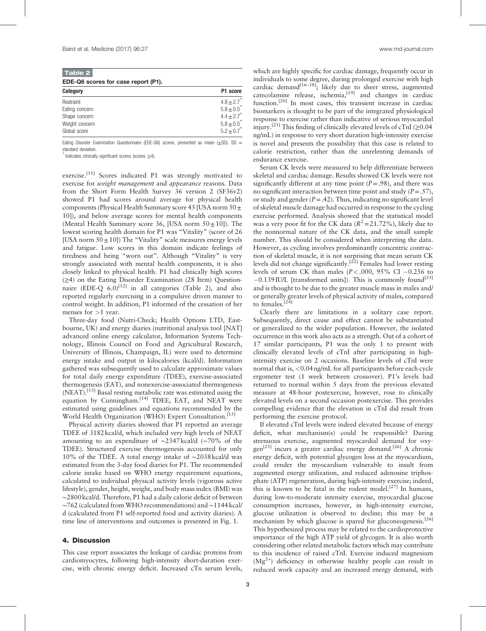| Table 2                             |                            |  |  |  |  |  |
|-------------------------------------|----------------------------|--|--|--|--|--|
| EDE-Q6 scores for case report (P1). |                            |  |  |  |  |  |
| Category                            | P1 score                   |  |  |  |  |  |
| Restraint                           | $4.8 \pm 2.7$ <sup>*</sup> |  |  |  |  |  |
| Eating concern                      | $5.8 \pm 0.5^*$            |  |  |  |  |  |
| Shape concern                       | $4.4 + 2.7$                |  |  |  |  |  |
| Weight concern                      | $5.8 \pm 0.5^{*}$          |  |  |  |  |  |
| Global score                        | $5.2 \pm 0.7$              |  |  |  |  |  |

Eating Disorder Examination Questionnaire (EDE-Q6) scores, presented as mean ( $\pm$ SD). SD = standard deviation.

∗ Indicates clinically significant scores (scores ≥4).

exercise.<sup>[\[11\]](#page-4-0)</sup> Scores indicated P1 was strongly motivated to exercise for *weight management* and *appearance* reasons. Data from the Short Form Health Survey 36 version 2 (SF36v2) showed P1 had scores around average for physical health components (Physical Health Summary score 45 [USA norm  $50 \pm$ 10]), and below average scores for mental health components (Mental Health Summary score 36, [USA norm  $50 \pm 10$ ]). The lowest scoring health domain for P1 was "Vitality" (score of 26 [USA norm  $50 \pm 10$ ]) The "Vitality" scale measures energy levels and fatigue. Low scores in this domain indicate feelings of tiredness and being "worn out". Although "Vitality" is very strongly associated with mental health components, it is also closely linked to physical health. P1 had clinically high scores (≥4) on the Eating Disorder Examination (28 Item) Questionnaire  $(EDE-Q 6.0)^{[12]}$  in all categories (Table 2), and also reported regularly exercising in a compulsive driven manner to control weight. In addition, P1 informed of the cessation of her menses for >1 year.

Three-day food (Nutri-Check; Health Options LTD, Eastbourne, UK) and energy diaries (nutritional analysis tool [NAT] advanced online energy calculator, Information Systems Technology, Illinois Council on Food and Agricultural Research, University of Illinois, Champaign, IL) were used to determine energy intake and output in kilocalories (kcal/d). Information gathered was subsequently used to calculate approximate values for total daily energy expenditure (TDEE), exercise-associated thermogenesis (EAT), and nonexercise-associated thermogenesis (NEAT).<sup>[\[13\]](#page-4-0)</sup> Basal resting metabolic rate was estimated using the equation by Cunningham.<sup>[\[14\]](#page-4-0)</sup> TDEE, EAT, and NEAT were estimated using guidelines and equations recommended by the World Health Organization (WHO) Expert Consultation.<sup>[\[15\]](#page-4-0)</sup>

Physical activity diaries showed that P1 reported an average TDEE of 3182 kcal/d, which included very high levels of NEAT amounting to an expenditure of ∼2347 kcal/d (∼70% of the TDEE). Structured exercise thermogenesis accounted for only 10% of the TDEE. A total energy intake of ∼2038 kcal/d was estimated from the 3-day food diaries for P1. The recommended calorie intake based on WHO energy requirement equations, calculated to individual physical activity levels (vigorous active lifestyle), gender, height, weight, and body mass index (BMI) was ∼2800 kcal/d. Therefore, P1 had a daily calorie deficit of between ∼762 (calculated from WHO recommendations) and ∼1144 kcal/ d (calculated from P1 self-reported food and activity diaries). A time line of interventions and outcomes is presented in [Fig. 1.](#page-3-0)

### 4. Discussion

This case report associates the leakage of cardiac proteins from cardiomyocytes, following high-intensity short-duration exercise, with chronic energy deficit. Increased cTn serum levels,

which are highly specific for cardiac damage, frequently occur in individuals to some degree, during prolonged exercise with high cardiac demand<sup>[16-18]</sup>; likely due to sheer stress, augmented catecolamine release, ischemia, $^{[19]}$  $^{[19]}$  $^{[19]}$  and changes in cardiac function.[\[20\]](#page-4-0) In most cases, this transient increase in cardiac biomarkers is thought to be part of the integrated physiological response to exercise rather than indicative of serious myocardial injury.<sup>[\[21\]](#page-4-0)</sup> This finding of clinically elevated levels of cTnI ( $\geq$ 0.04 ng/mL) in response to very short duration high-intensity exercise is novel and presents the possibility that this case is related to calorie restriction, rather than the unrelenting demands of endurance exercise.

Serum CK levels were measured to help differentiate between skeletal and cardiac damage. Results showed CK levels were not significantly different at any time point  $(P=.98)$ , and there was no significant interaction between time point and study  $(P = .57)$ , or study and gender  $(P = .42)$ . Thus, indicating no significant level of skeletal muscle damage had occurred in response to the cycling exercise performed. Analysis showed that the statistical model was a very poor fit for the CK data  $(R^2=21.72\%)$ , likely due to the nonnormal nature of the CK data, and the small sample number. This should be considered when interpreting the data. However, as cycling involves predominantly concentric contraction of skeletal muscle, it is not surprising that mean serum CK levels did not change significantly.<sup>[\[22\]](#page-4-0)</sup> Females had lower resting levels of serum CK than males ( $P < .000$ ,  $95\%$  CI  $-0.256$  to  $-0.139$  IU/L [transformed units]). This is commonly found<sup>[\[23\]](#page-5-0)</sup> and is thought to be due to the greater muscle mass in males and/ or generally greater levels of physical activity of males, compared to females.<sup>[\[24\]](#page-5-0)</sup>

Clearly there are limitations in a solitary case report. Subsequently, direct cause and effect cannot be substantiated or generalized to the wider population. However, the isolated occurrence in this work also acts as a strength. Out of a cohort of 17 similar participants, P1 was the only 1 to present with clinically elevated levels of cTnI after participating in highintensity exercise on 2 occasions. Baseline levels of cTnI were normal that is, <0.04 ng/mL for all participants before each cycle ergometer test (1 week between crossover). P1's levels had returned to normal within 5 days from the previous elevated measure at 48-hour postexercise, however, rose to clinically elevated levels on a second occasion postexercise. This provides compelling evidence that the elevation in cTnI did result from performing the exercise protocol.

If elevated cTnI levels were indeed elevated because of energy deficit, what mechanism(s) could be responsible? During strenuous exercise, augmented myocardial demand for oxy-gen<sup>[25]</sup> incurs a greater cardiac energy demand.<sup>[\[26\]](#page-5-0)</sup> A chronic energy deficit, with potential glycogen loss at the myocardium, could render the myocardium vulnerable to insult from augmented energy utilization, and reduced adenosine triphosphate (ATP) regeneration, during high-intensity exercise; indeed, this is known to be fatal in the rodent model.<sup>[\[27\]](#page-5-0)</sup> In humans, during low-to-moderate intensity exercise, myocardial glucose consumption increases, however, in high-intensity exercise, glucose utilization is observed to decline; this may be a mechanism by which glucose is spared for gluconeogenesis.<sup>[\[26\]](#page-5-0)</sup> This hypothesized process may be related to the cardioprotective importance of the high ATP yield of glycogen. It is also worth considering other related metabolic factors which may contribute to this incidence of raised cTnI. Exercise induced magnesium  $(Mg<sup>2+</sup>)$  deficiency in otherwise healthy people can result in reduced work capacity and an increased energy demand, with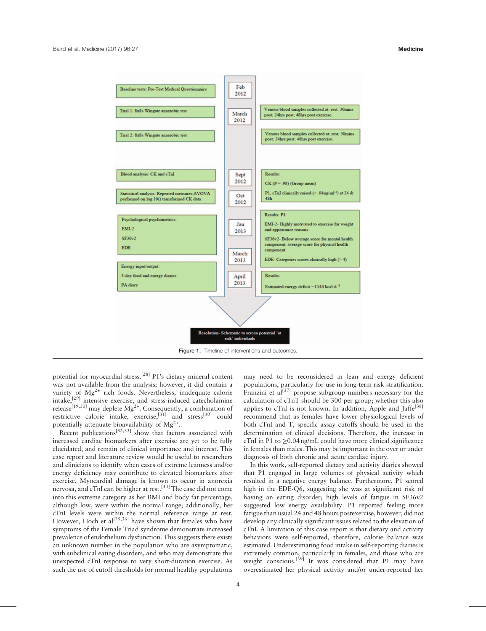<span id="page-3-0"></span>

potential for myocardial stress.<sup>[\[28\]](#page-5-0)</sup> P1's dietary mineral content was not available from the analysis; however, it did contain a variety of Mg<sup>2+</sup> rich foods. Nevertheless, inadequate calorie intake,[\[29\]](#page-5-0) intensive exercise, and stress-induced catecholamine release<sup>[19,30]</sup> may deplete  $Mg^{2+}$ . Consequently, a combination of restrictive calorie intake, exercise, $^{[31]}$  $^{[31]}$  $^{[31]}$  and stress<sup>[\[30\]](#page-5-0)</sup> could potentially attenuate bioavailability of  $\text{Me}^{2+}$ .

Recent publications<sup>[32,33]</sup> show that factors associated with increased cardiac biomarkers after exercise are yet to be fully elucidated, and remain of clinical importance and interest. This case report and literature review would be useful to researchers and clinicians to identify when cases of extreme leanness and/or energy deficiency may contribute to elevated biomarkers after exercise. Myocardial damage is known to occur in anorexia nervosa, and cTnI can be higher at rest.[\[34\]](#page-5-0) The case did not come into this extreme category as her BMI and body fat percentage, although low, were within the normal range; additionally, her cTnI levels were within the normal reference range at rest. However, Hoch et al<sup>[35,36]</sup> have shown that females who have symptoms of the Female Triad syndrome demonstrate increased prevalence of endothelium dysfunction. This suggests there exists an unknown number in the population who are asymptomatic, with subclinical eating disorders, and who may demonstrate this unexpected cTnI response to very short-duration exercise. As such the use of cutoff thresholds for normal healthy populations may need to be reconsidered in lean and energy deficient populations, particularly for use in long-term risk stratification. Franzini et  $a^{[37]}$  $a^{[37]}$  $a^{[37]}$  propose subgroup numbers necessary for the calculation of cTnT should be 300 per group; whether this also applies to cTnI is not known. In addition, Apple and Jaffe<sup>[\[38\]](#page-5-0)</sup> recommend that as females have lower physiological levels of both cTnI and T, specific assay cutoffs should be used in the determination of clinical decisions. Therefore, the increase in cTnI in P1 to  $\geq$ 0.04 ng/mL could have more clinical significance in females than males. This may be important in the over or under diagnosis of both chronic and acute cardiac injury.

In this work, self-reported dietary and activity diaries showed that P1 engaged in large volumes of physical activity which resulted in a negative energy balance. Furthermore, P1 scored high in the EDE-Q6, suggesting she was at significant risk of having an eating disorder; high levels of fatigue in SF36v2 suggested low energy availability. P1 reported feeling more fatigue than usual 24 and 48 hours postexercise, however, did not develop any clinically significant issues related to the elevation of cTnI. A limitation of this case report is that dietary and activity behaviors were self-reported, therefore, calorie balance was estimated. Underestimating food intake in self-reporting diaries is extremely common, particularly in females, and those who are weight conscious.<sup>[\[39\]](#page-5-0)</sup> It was considered that P1 may have overestimated her physical activity and/or under-reported her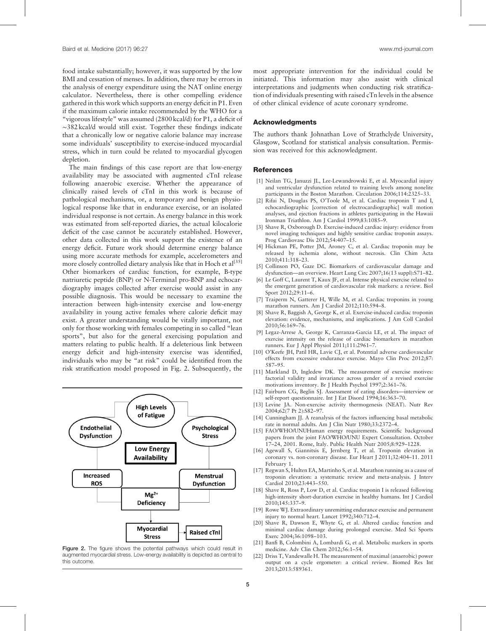<span id="page-4-0"></span>food intake substantially; however, it was supported by the low BMI and cessation of menses. In addition, there may be errors in the analysis of energy expenditure using the NAT online energy calculator. Nevertheless, there is other compelling evidence gathered in this work which supports an energy deficit in P1. Even if the maximum calorie intake recommended by the WHO for a "vigorous lifestyle" was assumed (2800 kcal/d) for P1, a deficit of ∼382 kcal/d would still exist. Together these findings indicate that a chronically low or negative calorie balance may increase some individuals' susceptibility to exercise-induced myocardial stress, which in turn could be related to myocardial glycogen depletion.

The main findings of this case report are that low-energy availability may be associated with augmented cTnI release following anaerobic exercise. Whether the appearance of clinically raised levels of cTnI in this work is because of pathological mechanisms, or, a temporary and benign physiological response like that in endurance exercise, or an isolated individual response is not certain. As energy balance in this work was estimated from self-reported diaries, the actual kilocalorie deficit of the case cannot be accurately established. However, other data collected in this work support the existence of an energy deficit. Future work should determine energy balance using more accurate methods for example, accelerometers and more closely controlled dietary analysis like that in Hoch et  $a^{[35]}$  $a^{[35]}$  $a^{[35]}$ Other biomarkers of cardiac function, for example, B-type natriuretic peptide (BNP) or N-Terminal pro-BNP and echocardiography images collected after exercise would assist in any possible diagnosis. This would be necessary to examine the interaction between high-intensity exercise and low-energy availability in young active females where calorie deficit may exist. A greater understanding would be vitally important, not only for those working with females competing in so called "lean sports", but also for the general exercising population and matters relating to public health. If a deleterious link between energy deficit and high-intensity exercise was identified, individuals who may be "at risk" could be identified from the risk stratification model proposed in Fig. 2. Subsequently, the



Figure 2. The figure shows the potential pathways which could result in augmented myocardial stress. Low-energy availability is depicted as central to this outcome.

most appropriate intervention for the individual could be initiated. This information may also assist with clinical interpretations and judgments when conducting risk stratification of individuals presenting with raised cTn levels in the absence of other clinical evidence of acute coronary syndrome.

## **Acknowledaments**

The authors thank Johnathan Love of Strathclyde University, Glasgow, Scotland for statistical analysis consultation. Permission was received for this acknowledgment.

#### **References**

- [1] Neilan TG, Januzzi JL, Lee-Lewandrowski E, et al. Myocardial injury and ventricular dysfunction related to training levels among nonelite participants in the Boston Marathon. Circulation 2006;114:2325–33.
- [2] Rifai N, Douglas PS, O'Toole M, et al. Cardiac troponin T and I, echocardiographic [correction of electrocardiographic] wall motion analyses, and ejection fractions in athletes participating in the Hawaii Ironman Triathlon. Am J Cardiol 1999;83:1085–9.
- [3] Shave R, Oxborough D. Exercise-induced cardiac injury: evidence from novel imaging techniques and highly sensitive cardiac troponin assays. Prog Cardiovasc Dis 2012;54:407–15.
- [4] Hickman PE, Potter JM, Aroney C, et al. Cardiac troponin may be released by ischemia alone, without necrosis. Clin Chim Acta 2010;411:318–23.
- [5] Collinson PO, Gaze DC. Biomarkers of cardiovascular damage and dysfunction—an overview. Heart Lung Circ 2007;16(13 suppl):S71–82.
- [6] Le Goff C, Laurent T, Kaux JF, et al. Intense physical exercise related to the emergent generation of cardiovascular risk markers: a review. Biol Sport 2012;29:11–6.
- Traiperm N, Gatterer H, Wille M, et al. Cardiac troponins in young marathon runners. Am J Cardiol 2012;110:594–8.
- [8] Shave R, Baggish A, George K, et al. Exercise-induced cardiac troponin elevation: evidence, mechanisms, and implications. J Am Coll Cardiol 2010;56:169–76.
- [9] Legaz-Arrese A, George K, Carranza-Garcia LE, et al. The impact of exercise intensity on the release of cardiac biomarkers in marathon runners. Eur J Appl Physiol 2011;111:2961–7.
- [10] O'Keefe JH, Patil HR, Lavie CJ, et al. Potential adverse cardiovascular effects from excessive endurance exercise. Mayo Clin Proc 2012;87: 587–95.
- [11] Markland D, Ingledew DK. The measurement of exercise motives: factorial validity and invariance across gender of a revised exercise motivations inventory. Br J Health Psychol 1997;2:361–76.
- [12] Fairburn CG, Beglin SJ. Assessment of eating disorders—interview or self-report questionnaire. Int J Eat Disord 1994;16:363–70.
- [13] Levine JA. Non-exercise activity thermogenesis (NEAT). Nutr Rev 2004;62(7 Pt 2):S82–97.
- [14] Cunningham JJ. A reanalysis of the factors influencing basal metabolic rate in normal adults. Am J Clin Nutr 1980;33:2372–4.
- [15] FAO/WHO/UNUHuman energy requirements. Scientific background papers from the joint FAO/WHO/UNU Expert Consultation. October 17–24, 2001. Rome, Italy. Public Health Nutr 2005;8:929–1228.
- [16] Agewall S, Giannitsis E, Jernberg T, et al. Troponin elevation in coronary vs. non-coronary disease. Eur Heart J 2011;32:404–11. 2011 February 1.
- [17] Regwan S, Hulten EA, Martinho S, et al. Marathon running as a cause of troponin elevation: a systematic review and meta-analysis. J Interv Cardiol 2010;23:443–550.
- [18] Shave R, Ross P, Low D, et al. Cardiac troponin I is released following high-intensity short-duration exercise in healthy humans. Int J Cardiol 2010;145:337–9.
- [19] Rowe WJ. Extraordinary unremitting endurance exercise and permanent injury to normal heart. Lancet 1992;340:712–4.
- [20] Shave R, Dawson E, Whyte G, et al. Altered cardiac function and minimal cardiac damage during prolonged exercise. Med Sci Sports Exerc 2004;36:1098–103.
- [21] Banfi B, Colombini A, Lombardi G, et al. Metabolic markers in sports medicine. Adv Clin Chem 2012;56:1–54.
- [22] Driss T, Vandewalle H. The measurement of maximal (anaerobic) power output on a cycle ergometer: a critical review. Biomed Res Int 2013;2013:589361.